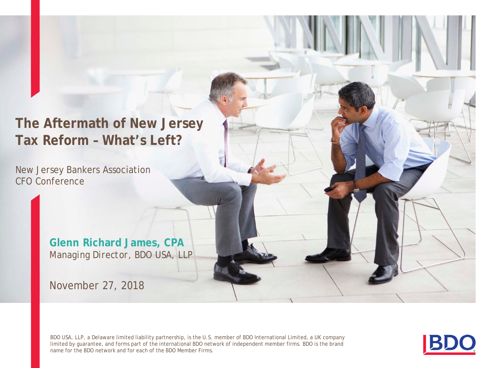**The Aftermath of New Jersey Tax Reform – What's Left?**

New Jersey Bankers Association CFO Conference

> **Glenn Richard James, CPA** *Managing Director, BDO USA, LLP*

November 27, 2018

BDO USA, LLP, a Delaware limited liability partnership, is the U.S. member of BDO International Limited, a UK company limited by guarantee, and forms part of the international BDO network of independent member firms. BDO is the brand name for the BDO network and for each of the BDO Member Firms.

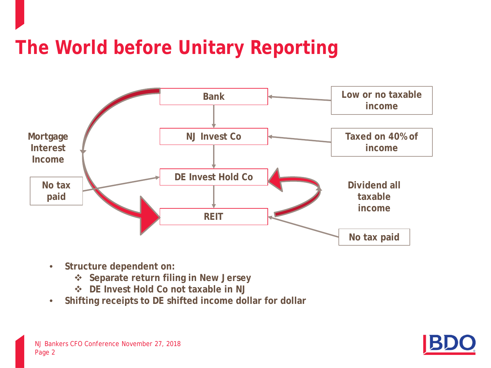## **The World before Unitary Reporting**



- **Structure dependent on:** 
	- **Separate return filing in New Jersey**
	- **DE Invest Hold Co not taxable in NJ**
- **Shifting receipts to DE shifted income dollar for dollar**

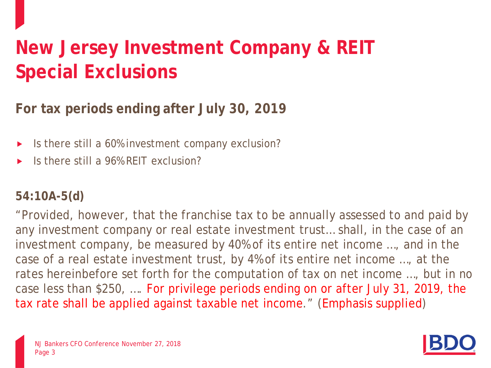# **New Jersey Investment Company & REIT Special Exclusions**

**For tax periods ending after July 30, 2019**

- If Its there still a 60% investment company exclusion?
- Is there still a 96% REIT exclusion?

#### **54:10A-5(d)**

"Provided, however, that the franchise tax to be annually assessed to and paid by any investment company or real estate investment trust… shall, in the case of an investment company, be measured by 40% of its entire net income …, and in the case of a real estate investment trust, by 4% of its entire net income …, at the rates hereinbefore set forth for the computation of tax on net income …, but in no case less than \$250, …. For privilege periods ending on or after July 31, 2019, the tax rate shall be applied against taxable net income." (Emphasis supplied)



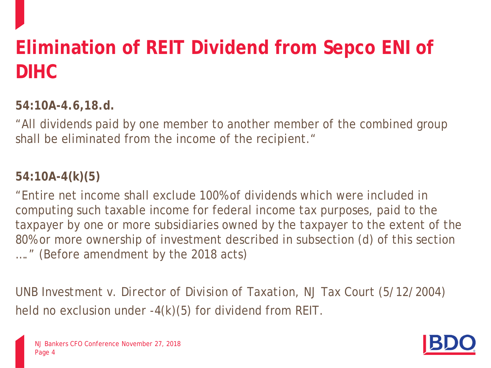# **Elimination of REIT Dividend from Sepco ENI of DIHC**

**54:10A-4.6,18.d.**

"All dividends paid by one member to another member of the combined group shall be eliminated from the income of the recipient."

#### **54:10A-4(k)(5)**

"Entire net income shall exclude 100% of dividends which were included in computing such taxable income for federal income tax purposes, paid to the taxpayer by one or more subsidiaries owned by the taxpayer to the extent of the 80% or more ownership of investment described in subsection (d) of this section …." (Before amendment by the 2018 acts)

*UNB Investment v. Director of Division of Taxation*, NJ Tax Court (5/12/2004) held no exclusion under -4(k)(5) for dividend from REIT.

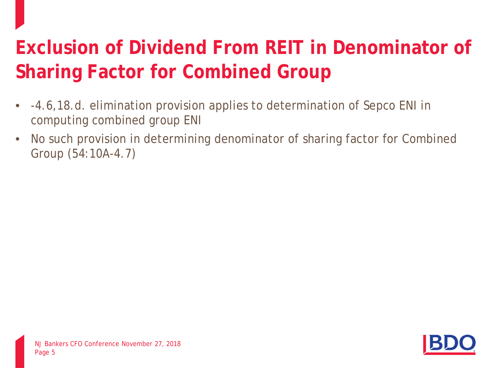# **Exclusion of Dividend From REIT in Denominator of Sharing Factor for Combined Group**

- -4.6,18.d. elimination provision applies to determination of Sepco ENI in computing combined group ENI
- No such provision in determining denominator of sharing factor for Combined Group (54:10A-4.7)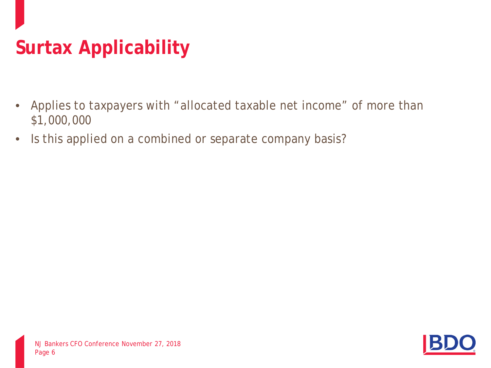# **Surtax Applicability**

- Applies to taxpayers with "allocated taxable net income" of more than \$1,000,000
- Is this applied on a combined or separate company basis?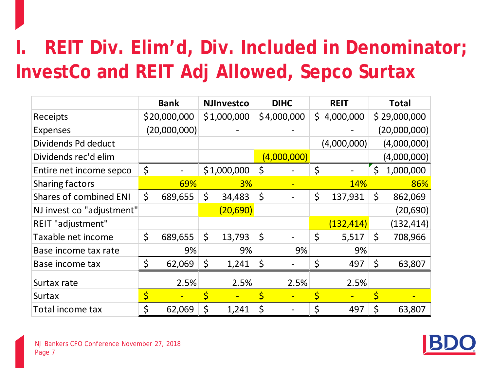# **I. REIT Div. Elim'd, Div. Included in Denominator; InvestCo and REIT Adj Allowed, Sepco Surtax**

|                               | <b>Bank</b>   |         | <b>NJInvestco</b> | <b>DIHC</b> | <b>REIT</b>     | <b>Total</b>    |
|-------------------------------|---------------|---------|-------------------|-------------|-----------------|-----------------|
| Receipts                      | \$20,000,000  |         | \$1,000,000       | \$4,000,000 | \$<br>4,000,000 | \$29,000,000    |
| <b>Expenses</b>               | (20,000,000)  |         |                   |             |                 | (20,000,000)    |
| Dividends Pd deduct           |               |         |                   |             | (4,000,000)     | (4,000,000)     |
| Dividends rec'd elim          |               |         |                   | (4,000,000) |                 | (4,000,000)     |
| Entire net income sepco       | \$            |         | \$1,000,000       | \$          | \$              | \$<br>1,000,000 |
| Sharing factors               | 69%           |         | 3%                |             | <b>14%</b>      | 86%             |
| <b>Shares of combined ENI</b> | \$<br>689,655 | \$      | 34,483            | \$          | \$<br>137,931   | \$<br>862,069   |
| NJ invest co "adjustment"     |               |         | (20, 690)         |             |                 | (20,690)        |
| REIT "adjustment"             |               |         |                   |             | (132, 414)      | (132, 414)      |
| Taxable net income            | \$<br>689,655 | $\zeta$ | 13,793            | \$          | \$<br>5,517     | \$<br>708,966   |
| Base income tax rate          | 9%            |         | 9%                | 9%          | 9%              |                 |
| Base income tax               | \$<br>62,069  | \$      | 1,241             | \$          | \$<br>497       | \$<br>63,807    |
| Surtax rate                   | 2.5%          |         | 2.5%              | 2.5%        | 2.5%            |                 |
| <b>Surtax</b>                 | \$            | \$      |                   | \$          |                 | \$              |
| Total income tax              | \$<br>62,069  | \$      | 1,241             | \$          | \$<br>497       | \$<br>63,807    |

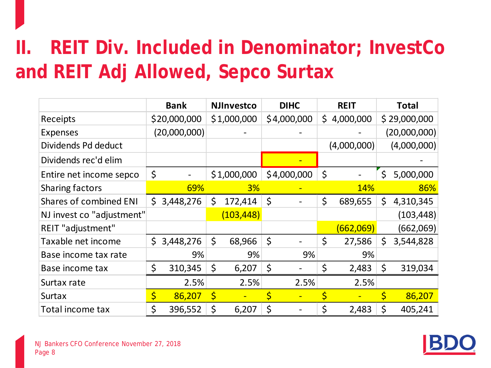# **II. REIT Div. Included in Denominator; InvestCo and REIT Adj Allowed, Sepco Surtax**

|                               |    | <b>Bank</b>  |             | <b>NJInvestco</b> | <b>DIHC</b> | <b>REIT</b>     |         | <b>Total</b> |
|-------------------------------|----|--------------|-------------|-------------------|-------------|-----------------|---------|--------------|
| Receipts                      |    | \$20,000,000 |             | \$1,000,000       | \$4,000,000 | \$<br>4,000,000 |         | \$29,000,000 |
| <b>Expenses</b>               |    | (20,000,000) |             |                   |             |                 |         | (20,000,000) |
| Dividends Pd deduct           |    |              |             |                   |             | (4,000,000)     |         | (4,000,000)  |
| Dividends rec'd elim          |    |              |             |                   |             |                 |         |              |
| Entire net income sepco       | \$ |              |             | \$1,000,000       | \$4,000,000 | \$              | $\zeta$ | 5,000,000    |
| <b>Sharing factors</b>        |    | 69%          |             | 3%                |             | <b>14%</b>      |         | 86%          |
| <b>Shares of combined ENI</b> | S  | 3,448,276    | \$          | 172,414           | \$          | \$<br>689,655   | \$      | 4,310,345    |
| NJ invest co "adjustment"     |    |              |             | (103, 448)        |             |                 |         | (103, 448)   |
| REIT "adjustment"             |    |              |             |                   |             | (662,069)       |         | (662,069)    |
| Taxable net income            | \$ | 3,448,276    | \$          | 68,966            | \$          | \$<br>27,586    | \$      | 3,544,828    |
| Base income tax rate          |    | 9%           |             | 9%                | 9%          | 9%              |         |              |
| Base income tax               | \$ | 310,345      | \$          | 6,207             | \$          | \$<br>2,483     | \$      | 319,034      |
| Surtax rate                   |    | 2.5%         |             | 2.5%              | 2.5%        | 2.5%            |         |              |
| Surtax                        | \$ | 86,207       | $\varsigma$ |                   | \$          |                 |         | 86,207       |
| Total income tax              | \$ | 396,552      | \$          | 6,207             | \$          | \$<br>2,483     | \$      | 405,241      |

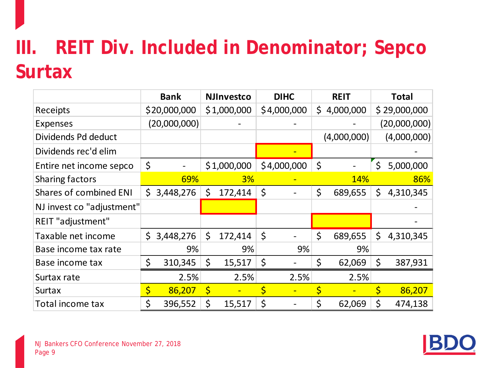# **III. REIT Div. Included in Denominator; Sepco Surtax**

|                               | <b>Bank</b>     |              | <b>NJInvestco</b> | <b>DIHC</b> |     | <b>REIT</b> | <b>Total</b>    |
|-------------------------------|-----------------|--------------|-------------------|-------------|-----|-------------|-----------------|
| Receipts                      | \$20,000,000    |              | \$1,000,000       | \$4,000,000 | \$. | 4,000,000   | \$29,000,000    |
| <b>Expenses</b>               | (20,000,000)    |              |                   |             |     |             | (20,000,000)    |
| Dividends Pd deduct           |                 |              |                   |             |     | (4,000,000) | (4,000,000)     |
| Dividends rec'd elim          |                 |              |                   |             |     |             |                 |
| Entire net income sepco       | \$              |              | \$1,000,000       | \$4,000,000 | \$  |             | \$<br>5,000,000 |
| Sharing factors               | 69%             |              | 3%                |             |     | <b>14%</b>  | 86%             |
| <b>Shares of combined ENI</b> | \$<br>3,448,276 | $\mathsf{S}$ | 172,414           | \$          | \$  | 689,655     | \$<br>4,310,345 |
| NJ invest co "adjustment"     |                 |              |                   |             |     |             |                 |
| REIT "adjustment"             |                 |              |                   |             |     |             |                 |
| Taxable net income            | \$<br>3,448,276 | \$           | 172,414           | \$          | \$  | 689,655     | \$<br>4,310,345 |
| Base income tax rate          | 9%              |              | 9%                | 9%          |     | 9%          |                 |
| Base income tax               | \$<br>310,345   | \$           | 15,517            | \$          | \$  | 62,069      | \$<br>387,931   |
| Surtax rate                   | 2.5%            |              | 2.5%              | 2.5%        |     | 2.5%        |                 |
| <b>Surtax</b>                 | \$<br>86,207    | $\varsigma$  |                   | \$          |     |             | 86,207          |
| Total income tax              | \$<br>396,552   | \$           | 15,517            | \$          | \$  | 62,069      | \$<br>474,138   |

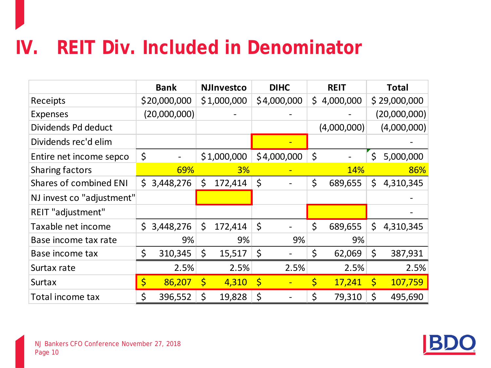#### **IV. REIT Div. Included in Denominator**

|                               |    | <b>Bank</b>  | <b>NJInvestco</b> |             | <b>DIHC</b> |              | <b>REIT</b> |              | <b>Total</b> |
|-------------------------------|----|--------------|-------------------|-------------|-------------|--------------|-------------|--------------|--------------|
| Receipts                      |    | \$20,000,000 | \$1,000,000       |             | \$4,000,000 | $\mathsf{S}$ | 4,000,000   |              | \$29,000,000 |
| <b>Expenses</b>               |    | (20,000,000) |                   |             |             |              |             |              | (20,000,000) |
| Dividends Pd deduct           |    |              |                   |             |             |              | (4,000,000) |              | (4,000,000)  |
| Dividends rec'd elim          |    |              |                   |             |             |              |             |              |              |
| Entire net income sepco       | \$ |              | \$1,000,000       |             | \$4,000,000 | \$           |             | \$           | 5,000,000    |
| <b>Sharing factors</b>        |    | 69%          | 3%                |             |             |              | <b>14%</b>  |              | 86%          |
| <b>Shares of combined ENI</b> | Ś. | 3,448,276    | \$<br>172,414     | \$          |             | \$           | 689,655     | \$           | 4,310,345    |
| NJ invest co "adjustment"     |    |              |                   |             |             |              |             |              |              |
| REIT "adjustment"             |    |              |                   |             |             |              |             |              |              |
| Taxable net income            | \$ | 3,448,276    | \$<br>172,414     | \$          |             | \$           | 689,655     | \$           | 4,310,345    |
| Base income tax rate          |    | 9%           | 9%                |             | 9%          |              | 9%          |              |              |
| Base income tax               | \$ | 310,345      | \$<br>15,517      | \$          |             | \$           | 62,069      | \$           | 387,931      |
| Surtax rate                   |    | 2.5%         | 2.5%              |             | 2.5%        |              | 2.5%        |              | 2.5%         |
| <b>Surtax</b>                 | \$ | 86,207       | \$<br>4,310       | $\varsigma$ |             | \$           | 17,241      | $\mathsf{S}$ | 107,759      |
| Total income tax              | \$ | 396,552      | \$<br>19,828      | \$          |             | \$           | 79,310      | Ś            | 495,690      |

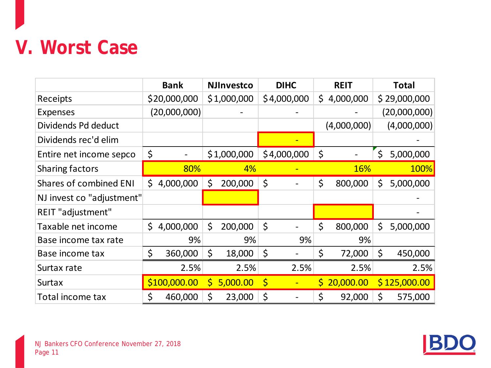#### **V. Worst Case**

|                               | <b>Bank</b>     |              | <b>NJInvestco</b> |             | <b>DIHC</b> |    | <b>REIT</b> | <b>Total</b>    |
|-------------------------------|-----------------|--------------|-------------------|-------------|-------------|----|-------------|-----------------|
| Receipts                      | \$20,000,000    |              | \$1,000,000       |             | \$4,000,000 | \$ | 4,000,000   | \$29,000,000    |
| <b>Expenses</b>               | (20,000,000)    |              |                   |             |             |    |             | (20,000,000)    |
| Dividends Pd deduct           |                 |              |                   |             |             |    | (4,000,000) | (4,000,000)     |
| Dividends rec'd elim          |                 |              |                   |             |             |    |             |                 |
| Entire net income sepco       | \$              |              | \$1,000,000       |             | \$4,000,000 | \$ |             | \$<br>5,000,000 |
| Sharing factors               | 80%             |              | 4%                |             |             |    | <b>16%</b>  | 100%            |
| <b>Shares of combined ENI</b> | \$<br>4,000,000 | \$           | 200,000           | \$          |             | \$ | 800,000     | \$<br>5,000,000 |
| NJ invest co "adjustment"     |                 |              |                   |             |             |    |             |                 |
| REIT "adjustment"             |                 |              |                   |             |             |    |             |                 |
| Taxable net income            | \$<br>4,000,000 | \$           | 200,000           | \$          |             | \$ | 800,000     | \$<br>5,000,000 |
| Base income tax rate          | 9%              |              | 9%                |             | 9%          |    | 9%          |                 |
| Base income tax               | \$<br>360,000   | \$           | 18,000            | \$          |             | \$ | 72,000      | \$<br>450,000   |
| Surtax rate                   | 2.5%            |              | 2.5%              |             | 2.5%        |    | 2.5%        | 2.5%            |
| <b>Surtax</b>                 | \$100,000.00    | $\mathsf{S}$ | 5,000.00          | $\varsigma$ |             | S  | 20,000.00   | \$125,000.00    |
| Total income tax              | \$<br>460,000   | \$           | 23,000            | \$          |             | Ś  | 92,000      | \$<br>575,000   |